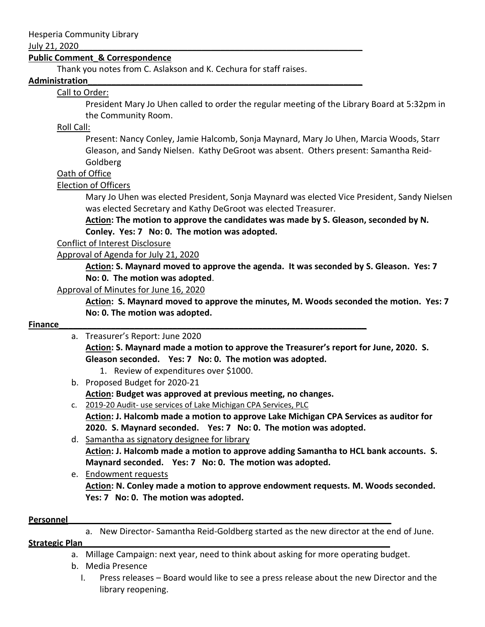#### July 21, 2020\_\_\_\_\_\_\_\_\_\_\_\_\_\_\_\_\_\_\_\_\_\_\_\_\_\_\_\_\_\_\_\_\_\_\_\_\_\_\_\_\_\_\_\_\_\_\_\_\_\_\_\_\_\_\_\_\_\_\_\_

### **Public Comment\_& Correspondence**

Thank you notes from C. Aslakson and K. Cechura for staff raises.

#### **Administration\_\_\_\_\_\_\_\_\_\_\_\_\_\_\_\_\_\_\_\_\_\_\_\_\_\_\_\_\_\_\_\_\_\_\_\_\_\_\_\_\_\_\_\_\_\_\_\_\_\_\_\_\_\_\_\_\_\_**

### Call to Order:

President Mary Jo Uhen called to order the regular meeting of the Library Board at 5:32pm in the Community Room.

### Roll Call:

Present: Nancy Conley, Jamie Halcomb, Sonja Maynard, Mary Jo Uhen, Marcia Woods, Starr Gleason, and Sandy Nielsen. Kathy DeGroot was absent. Others present: Samantha Reid-Goldberg

#### Oath of Office

### Election of Officers

Mary Jo Uhen was elected President, Sonja Maynard was elected Vice President, Sandy Nielsen was elected Secretary and Kathy DeGroot was elected Treasurer.

**Action: The motion to approve the candidates was made by S. Gleason, seconded by N. Conley. Yes: 7 No: 0. The motion was adopted.**

#### Conflict of Interest Disclosure

### Approval of Agenda for July 21, 2020

**Action: S. Maynard moved to approve the agenda. It was seconded by S. Gleason. Yes: 7 No: 0. The motion was adopted**.

#### Approval of Minutes for June 16, 2020

**Action: S. Maynard moved to approve the minutes, M. Woods seconded the motion. Yes: 7 No: 0. The motion was adopted.**

### **Finance Example 20 and 20 and 20 and 20 and 20 and 20 and 20 and 20 and 20 and 20 and 20 and 20 and 20 and 20 and 20 and 20 and 20 and 20 and 20 and 20 and 20 and 20 and 20 and 20 and 20 and 20 and 20 and 20 and 20 and**

a. Treasurer's Report: June 2020

**Action: S. Maynard made a motion to approve the Treasurer's report for June, 2020. S. Gleason seconded. Yes: 7 No: 0. The motion was adopted.**

- 1. Review of expenditures over \$1000.
- b. Proposed Budget for 2020-21

**Action: Budget was approved at previous meeting, no changes.** 

- c. 2019-20 Audit- use services of Lake Michigan CPA Services, PLC **Action: J. Halcomb made a motion to approve Lake Michigan CPA Services as auditor for 2020. S. Maynard seconded. Yes: 7 No: 0. The motion was adopted.**
- d. Samantha as signatory designee for library **Action: J. Halcomb made a motion to approve adding Samantha to HCL bank accounts. S. Maynard seconded. Yes: 7 No: 0. The motion was adopted.**
- e. Endowment requests **Action: N. Conley made a motion to approve endowment requests. M. Woods seconded. Yes: 7 No: 0. The motion was adopted.**

#### **Personnel**

a. New Director- Samantha Reid-Goldberg started as the new director at the end of June.

#### **Strategic Plan\_\_\_\_\_\_\_\_\_\_\_\_\_\_\_\_\_\_\_\_\_\_\_\_\_\_\_\_\_\_\_\_\_\_\_\_\_\_\_\_\_\_\_\_\_\_\_\_\_\_\_\_\_\_\_\_\_\_\_\_\_\_\_\_\_**

- a. Millage Campaign: next year, need to think about asking for more operating budget.
- b. Media Presence
	- I. Press releases Board would like to see a press release about the new Director and the library reopening.